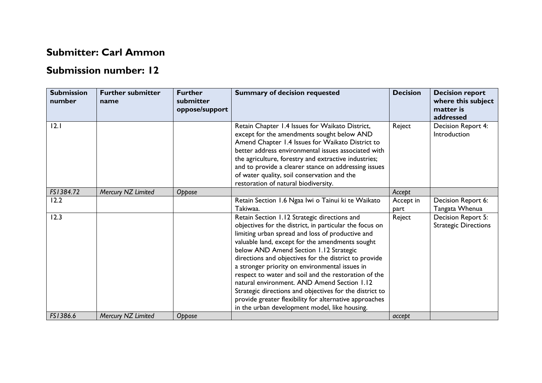## **Submitter: Carl Ammon**

## **Submission number: 12**

| <b>Submission</b><br>number | <b>Further submitter</b><br>name | <b>Further</b><br>submitter<br>oppose/support | <b>Summary of decision requested</b>                                                                                                                                                                                                                                                                                                                                                                                                                                                                                                                                                                                                             | <b>Decision</b>   | <b>Decision report</b><br>where this subject<br>matter is<br>addressed |
|-----------------------------|----------------------------------|-----------------------------------------------|--------------------------------------------------------------------------------------------------------------------------------------------------------------------------------------------------------------------------------------------------------------------------------------------------------------------------------------------------------------------------------------------------------------------------------------------------------------------------------------------------------------------------------------------------------------------------------------------------------------------------------------------------|-------------------|------------------------------------------------------------------------|
| 2.1                         |                                  |                                               | Retain Chapter 1.4 Issues for Waikato District,<br>except for the amendments sought below AND<br>Amend Chapter 1.4 Issues for Waikato District to<br>better address environmental issues associated with<br>the agriculture, forestry and extractive industries;<br>and to provide a clearer stance on addressing issues<br>of water quality, soil conservation and the<br>restoration of natural biodiversity.                                                                                                                                                                                                                                  | Reject            | Decision Report 4:<br>Introduction                                     |
| FS1384.72                   | Mercury NZ Limited               | Oppose                                        |                                                                                                                                                                                                                                                                                                                                                                                                                                                                                                                                                                                                                                                  | Accept            |                                                                        |
| 12.2                        |                                  |                                               | Retain Section 1.6 Ngaa Iwi o Tainui ki te Waikato<br>Takiwaa.                                                                                                                                                                                                                                                                                                                                                                                                                                                                                                                                                                                   | Accept in<br>part | Decision Report 6:<br>Tangata Whenua                                   |
| 12.3                        |                                  |                                               | Retain Section 1.12 Strategic directions and<br>objectives for the district, in particular the focus on<br>limiting urban spread and loss of productive and<br>valuable land, except for the amendments sought<br>below AND Amend Section 1.12 Strategic<br>directions and objectives for the district to provide<br>a stronger priority on environmental issues in<br>respect to water and soil and the restoration of the<br>natural environment. AND Amend Section 1.12<br>Strategic directions and objectives for the district to<br>provide greater flexibility for alternative approaches<br>in the urban development model, like housing. | Reject            | Decision Report 5:<br><b>Strategic Directions</b>                      |
| FS1386.6                    | Mercury NZ Limited               | Oppose                                        |                                                                                                                                                                                                                                                                                                                                                                                                                                                                                                                                                                                                                                                  | accept            |                                                                        |